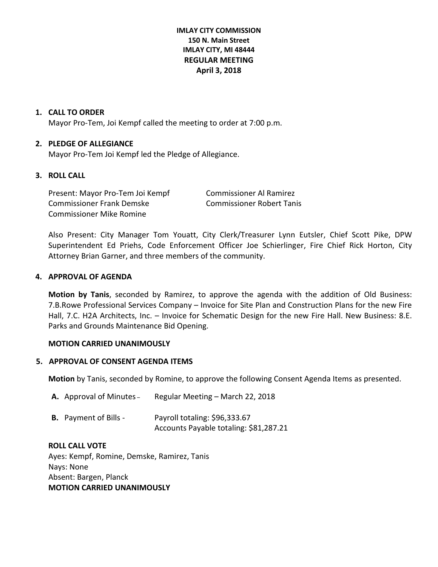# **IMLAY CITY COMMISSION 150 N. Main Street IMLAY CITY, MI 48444 REGULAR MEETING April 3, 2018**

#### **1. CALL TO ORDER**

Mayor Pro-Tem, Joi Kempf called the meeting to order at 7:00 p.m.

#### **2. PLEDGE OF ALLEGIANCE**

Mayor Pro-Tem Joi Kempf led the Pledge of Allegiance.

# **3. ROLL CALL**

Present: Mayor Pro-Tem Joi Kempf Commissioner Al Ramirez Commissioner Frank Demske Commissioner Robert Tanis Commissioner Mike Romine

Also Present: City Manager Tom Youatt, City Clerk/Treasurer Lynn Eutsler, Chief Scott Pike, DPW Superintendent Ed Priehs, Code Enforcement Officer Joe Schierlinger, Fire Chief Rick Horton, City Attorney Brian Garner, and three members of the community.

#### **4. APPROVAL OF AGENDA**

**Motion by Tanis**, seconded by Ramirez, to approve the agenda with the addition of Old Business: 7.B.Rowe Professional Services Company – Invoice for Site Plan and Construction Plans for the new Fire Hall, 7.C. H2A Architects, Inc. – Invoice for Schematic Design for the new Fire Hall. New Business: 8.E. Parks and Grounds Maintenance Bid Opening.

#### **MOTION CARRIED UNANIMOUSLY**

#### **5. APPROVAL OF CONSENT AGENDA ITEMS**

**Motion** by Tanis, seconded by Romine, to approve the following Consent Agenda Items as presented.

| <b>A.</b> Approval of Minutes – | Regular Meeting – March 22, 2018                                        |
|---------------------------------|-------------------------------------------------------------------------|
| <b>B.</b> Payment of Bills -    | Payroll totaling: \$96,333.67<br>Accounts Payable totaling: \$81,287.21 |

#### **ROLL CALL VOTE**

Ayes: Kempf, Romine, Demske, Ramirez, Tanis Nays: None Absent: Bargen, Planck **MOTION CARRIED UNANIMOUSLY**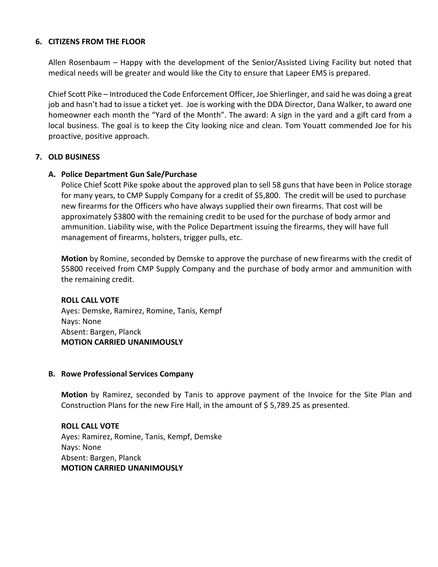# **6. CITIZENS FROM THE FLOOR**

Allen Rosenbaum – Happy with the development of the Senior/Assisted Living Facility but noted that medical needs will be greater and would like the City to ensure that Lapeer EMS is prepared.

Chief Scott Pike – Introduced the Code Enforcement Officer, Joe Shierlinger, and said he was doing a great job and hasn't had to issue a ticket yet. Joe is working with the DDA Director, Dana Walker, to award one homeowner each month the "Yard of the Month". The award: A sign in the yard and a gift card from a local business. The goal is to keep the City looking nice and clean. Tom Youatt commended Joe for his proactive, positive approach.

# **7. OLD BUSINESS**

# **A. Police Department Gun Sale/Purchase**

 Police Chief Scott Pike spoke about the approved plan to sell 58 guns that have been in Police storage for many years, to CMP Supply Company for a credit of \$5,800. The credit will be used to purchase new firearms for the Officers who have always supplied their own firearms. That cost will be approximately \$3800 with the remaining credit to be used for the purchase of body armor and ammunition. Liability wise, with the Police Department issuing the firearms, they will have full management of firearms, holsters, trigger pulls, etc.

**Motion** by Romine, seconded by Demske to approve the purchase of new firearms with the credit of \$5800 received from CMP Supply Company and the purchase of body armor and ammunition with the remaining credit.

**ROLL CALL VOTE** Ayes: Demske, Ramirez, Romine, Tanis, Kempf Nays: None Absent: Bargen, Planck **MOTION CARRIED UNANIMOUSLY**

#### **B. Rowe Professional Services Company**

**Motion** by Ramirez, seconded by Tanis to approve payment of the Invoice for the Site Plan and Construction Plans for the new Fire Hall, in the amount of \$5,789.25 as presented.

**ROLL CALL VOTE** Ayes: Ramirez, Romine, Tanis, Kempf, Demske Nays: None Absent: Bargen, Planck **MOTION CARRIED UNANIMOUSLY**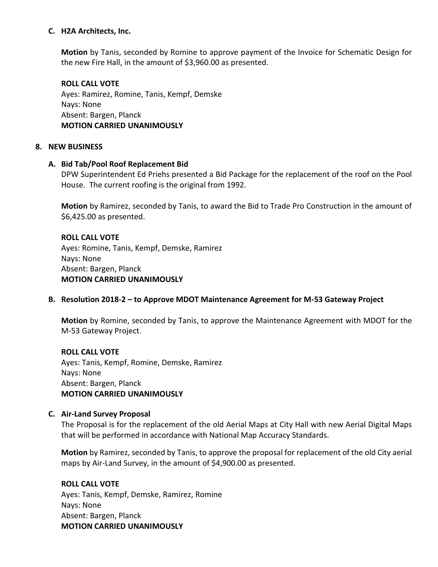# **C. H2A Architects, Inc.**

**Motion** by Tanis, seconded by Romine to approve payment of the Invoice for Schematic Design for the new Fire Hall, in the amount of \$3,960.00 as presented.

# **ROLL CALL VOTE** Ayes: Ramirez, Romine, Tanis, Kempf, Demske Nays: None Absent: Bargen, Planck **MOTION CARRIED UNANIMOUSLY**

# **8. NEW BUSINESS**

# **A. Bid Tab/Pool Roof Replacement Bid**

DPW Superintendent Ed Priehs presented a Bid Package for the replacement of the roof on the Pool House. The current roofing is the original from 1992.

**Motion** by Ramirez, seconded by Tanis, to award the Bid to Trade Pro Construction in the amount of \$6,425.00 as presented.

# **ROLL CALL VOTE**

Ayes: Romine, Tanis, Kempf, Demske, Ramirez Nays: None Absent: Bargen, Planck **MOTION CARRIED UNANIMOUSLY**

# **B. Resolution 2018-2 – to Approve MDOT Maintenance Agreement for M-53 Gateway Project**

**Motion** by Romine, seconded by Tanis, to approve the Maintenance Agreement with MDOT for the M-53 Gateway Project.

# **ROLL CALL VOTE**

Ayes: Tanis, Kempf, Romine, Demske, Ramirez Nays: None Absent: Bargen, Planck **MOTION CARRIED UNANIMOUSLY**

# **C. Air-Land Survey Proposal**

The Proposal is for the replacement of the old Aerial Maps at City Hall with new Aerial Digital Maps that will be performed in accordance with National Map Accuracy Standards.

**Motion** by Ramirez, seconded by Tanis, to approve the proposal for replacement of the old City aerial maps by Air-Land Survey, in the amount of \$4,900.00 as presented.

# **ROLL CALL VOTE**

Ayes: Tanis, Kempf, Demske, Ramirez, Romine Nays: None Absent: Bargen, Planck **MOTION CARRIED UNANIMOUSLY**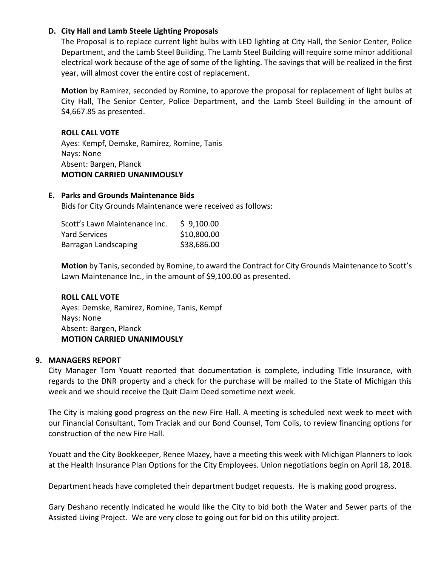# **D. City Hall and Lamb Steele Lighting Proposals**

The Proposal is to replace current light bulbs with LED lighting at City Hall, the Senior Center, Police Department, and the Lamb Steel Building. The Lamb Steel Building will require some minor additional electrical work because of the age of some of the lighting. The savings that will be realized in the first year, will almost cover the entire cost of replacement.

**Motion** by Ramirez, seconded by Romine, to approve the proposal for replacement of light bulbs at City Hall, The Senior Center, Police Department, and the Lamb Steel Building in the amount of \$4,667.85 as presented.

# **ROLL CALL VOTE**

Ayes: Kempf, Demske, Ramirez, Romine, Tanis Nays: None Absent: Bargen, Planck **MOTION CARRIED UNANIMOUSLY**

# **E. Parks and Grounds Maintenance Bids**

Bids for City Grounds Maintenance were received as follows:

| Scott's Lawn Maintenance Inc. | \$9,100.00  |
|-------------------------------|-------------|
| Yard Services                 | \$10,800.00 |
| Barragan Landscaping          | \$38,686.00 |

**Motion** by Tanis, seconded by Romine, to award the Contract for City Grounds Maintenance to Scott's Lawn Maintenance Inc., in the amount of \$9,100.00 as presented.

#### **ROLL CALL VOTE**

Ayes: Demske, Ramirez, Romine, Tanis, Kempf Nays: None Absent: Bargen, Planck **MOTION CARRIED UNANIMOUSLY**

# **9. MANAGERS REPORT**

City Manager Tom Youatt reported that documentation is complete, including Title Insurance, with regards to the DNR property and a check for the purchase will be mailed to the State of Michigan this week and we should receive the Quit Claim Deed sometime next week.

The City is making good progress on the new Fire Hall. A meeting is scheduled next week to meet with our Financial Consultant, Tom Traciak and our Bond Counsel, Tom Colis, to review financing options for construction of the new Fire Hall.

Youatt and the City Bookkeeper, Renee Mazey, have a meeting this week with Michigan Planners to look at the Health Insurance Plan Options for the City Employees. Union negotiations begin on April 18, 2018.

Department heads have completed their department budget requests. He is making good progress.

Gary Deshano recently indicated he would like the City to bid both the Water and Sewer parts of the Assisted Living Project. We are very close to going out for bid on this utility project.